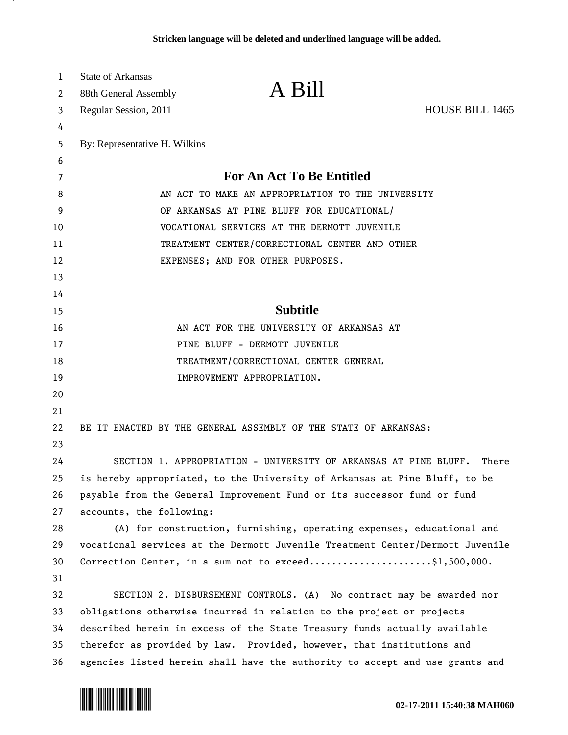| 1                     | <b>State of Arkansas</b>                                                |                                                                               |                        |
|-----------------------|-------------------------------------------------------------------------|-------------------------------------------------------------------------------|------------------------|
| $\mathbf{2}^{\prime}$ | 88th General Assembly                                                   | A Bill                                                                        |                        |
| 3                     | Regular Session, 2011                                                   |                                                                               | <b>HOUSE BILL 1465</b> |
| 4                     |                                                                         |                                                                               |                        |
| 5                     | By: Representative H. Wilkins                                           |                                                                               |                        |
| 6                     |                                                                         |                                                                               |                        |
| 7                     | <b>For An Act To Be Entitled</b>                                        |                                                                               |                        |
| 8                     | AN ACT TO MAKE AN APPROPRIATION TO THE UNIVERSITY                       |                                                                               |                        |
| 9                     | OF ARKANSAS AT PINE BLUFF FOR EDUCATIONAL/                              |                                                                               |                        |
| 10                    | VOCATIONAL SERVICES AT THE DERMOTT JUVENILE                             |                                                                               |                        |
| 11                    | TREATMENT CENTER/CORRECTIONAL CENTER AND OTHER                          |                                                                               |                        |
| 12                    | EXPENSES; AND FOR OTHER PURPOSES.                                       |                                                                               |                        |
| 13                    |                                                                         |                                                                               |                        |
| 14                    |                                                                         |                                                                               |                        |
| 15                    |                                                                         | <b>Subtitle</b>                                                               |                        |
| 16                    | AN ACT FOR THE UNIVERSITY OF ARKANSAS AT                                |                                                                               |                        |
| 17                    | PINE BLUFF - DERMOTT JUVENILE                                           |                                                                               |                        |
| 18                    | TREATMENT/CORRECTIONAL CENTER GENERAL                                   |                                                                               |                        |
| 19                    |                                                                         | IMPROVEMENT APPROPRIATION.                                                    |                        |
| 20                    |                                                                         |                                                                               |                        |
| 21                    |                                                                         |                                                                               |                        |
| 22                    |                                                                         | BE IT ENACTED BY THE GENERAL ASSEMBLY OF THE STATE OF ARKANSAS:               |                        |
| 23                    |                                                                         |                                                                               |                        |
| 24                    |                                                                         | SECTION 1. APPROPRIATION - UNIVERSITY OF ARKANSAS AT PINE BLUFF.              | There                  |
| 25                    |                                                                         | is hereby appropriated, to the University of Arkansas at Pine Bluff, to be    |                        |
| 26                    | payable from the General Improvement Fund or its successor fund or fund |                                                                               |                        |
| 27                    | accounts, the following:                                                |                                                                               |                        |
| 28                    |                                                                         | (A) for construction, furnishing, operating expenses, educational and         |                        |
| 29                    |                                                                         | vocational services at the Dermott Juvenile Treatment Center/Dermott Juvenile |                        |
| 30                    |                                                                         | Correction Center, in a sum not to exceed\$1,500,000.                         |                        |
| 31                    |                                                                         |                                                                               |                        |
| 32                    |                                                                         | SECTION 2. DISBURSEMENT CONTROLS. (A) No contract may be awarded nor          |                        |
| 33                    |                                                                         | obligations otherwise incurred in relation to the project or projects         |                        |
| 34                    |                                                                         | described herein in excess of the State Treasury funds actually available     |                        |
| 35                    | therefor as provided by law. Provided, however, that institutions and   |                                                                               |                        |
| 36                    |                                                                         | agencies listed herein shall have the authority to accept and use grants and  |                        |



л.